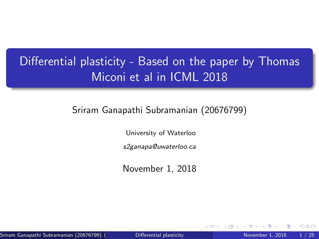# <span id="page-0-0"></span>Differential plasticity - Based on the paper by Thomas Miconi et al in ICML 2018

#### Sriram Ganapathi Subramanian (20676799)

University of Waterloo

s2ganapa@uwaterloo.ca

November 1, 2018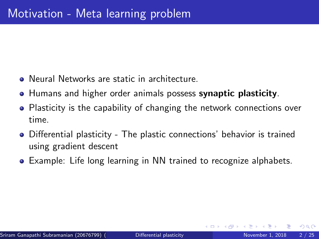- Neural Networks are static in architecture.
- **Humans and higher order animals possess synaptic plasticity.**
- Plasticity is the capability of changing the network connections over time.
- Differential plasticity The plastic connections' behavior is trained using gradient descent
- Example: Life long learning in NN trained to recognize alphabets.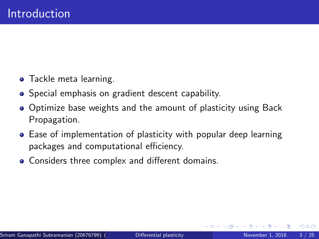- **•** Tackle meta learning.
- Special emphasis on gradient descent capability.
- Optimize base weights and the amount of plasticity using Back Propagation.
- Ease of implementation of plasticity with popular deep learning packages and computational efficiency.
- Considers three complex and different domains.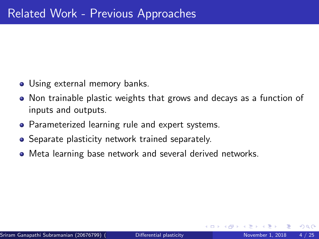- Using external memory banks.
- Non trainable plastic weights that grows and decays as a function of inputs and outputs.
- Parameterized learning rule and expert systems.
- **•** Separate plasticity network trained separately.
- Meta learning base network and several derived networks.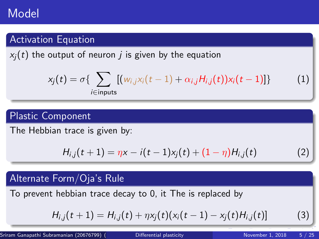## Model

### Activation Equation

 $x_i(t)$  the output of neuron *i* is given by the equation

$$
x_j(t) = \sigma\left\{\sum_{i \in \text{inputs}} [(\mathbf{w}_{i,j}x_i(t-1) + \alpha_{i,j}H_{i,j}(t))x_i(t-1)]\right\} \tag{1}
$$

#### Plastic Component

The Hebbian trace is given by:

$$
H_{i,j}(t+1) = \eta x - i(t-1)x_j(t) + (1-\eta)H_{i,j}(t)
$$
 (2)

#### Alternate Form/Oja's Rule

To prevent hebbian trace decay to 0, it The is replaced by

$$
H_{i,j}(t+1) = H_{i,j}(t) + \eta x_j(t)(x_i(t-1) - x_j(t)H_{i,j}(t))
$$
\n(3)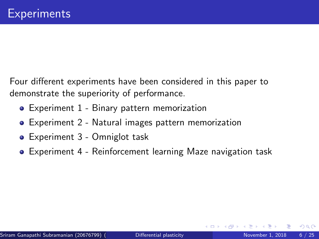Four different experiments have been considered in this paper to demonstrate the superiority of performance.

- Experiment 1 Binary pattern memorization
- Experiment 2 Natural images pattern memorization
- Experiment 3 Omniglot task
- Experiment 4 Reinforcement learning Maze navigation task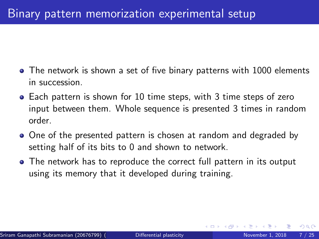- The network is shown a set of five binary patterns with 1000 elements in succession.
- Each pattern is shown for 10 time steps, with 3 time steps of zero input between them. Whole sequence is presented 3 times in random order.
- One of the presented pattern is chosen at random and degraded by setting half of its bits to 0 and shown to network.
- The network has to reproduce the correct full pattern in its output using its memory that it developed during training.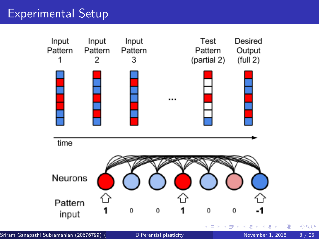## Experimental Setup



 $299$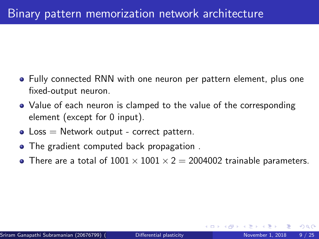- Fully connected RNN with one neuron per pattern element, plus one fixed-output neuron.
- Value of each neuron is clamped to the value of the corresponding element (except for 0 input).
- $\bullet$  Loss  $=$  Network output correct pattern.
- The gradient computed back propagation .
- There are a total of  $1001 \times 1001 \times 2 = 2004002$  trainable parameters.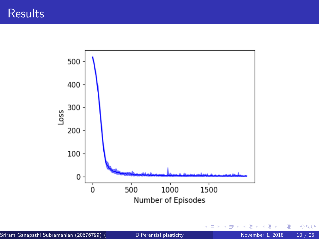

4日)

E

目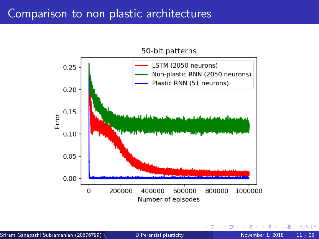## Comparison to non plastic architectures

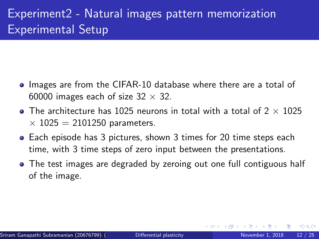## Experiment2 - Natural images pattern memorization Experimental Setup

- Images are from the CIFAR-10 database where there are a total of 60000 images each of size  $32 \times 32$ .
- The architecture has 1025 neurons in total with a total of  $2 \times 1025$  $\times$  1025 = 2101250 parameters.
- Each episode has 3 pictures, shown 3 times for 20 time steps each time, with 3 time steps of zero input between the presentations.
- The test images are degraded by zeroing out one full contiguous half of the image.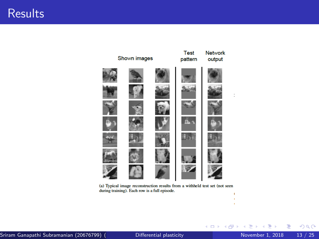#### **Results**



(a) Typical image reconstruction results from a withheld test set (not seen during training). Each row is a full episode. ł

正々 メラメ

重

 $299$ 

ł

**K ロ ⊁ K 倒 ⊁ K**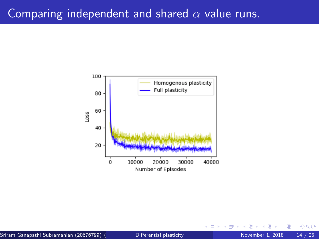## Comparing independent and shared  $\alpha$  value runs.



 $\leftarrow$ 

 $QQ$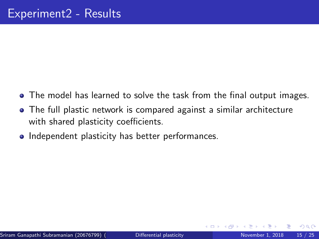- The model has learned to solve the task from the final output images.
- The full plastic network is compared against a similar architecture with shared plasticity coefficients.
- Independent plasticity has better performances.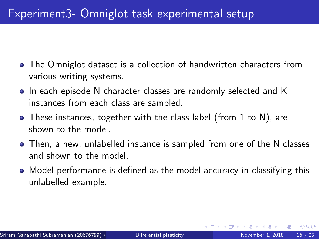- The Omniglot dataset is a collection of handwritten characters from various writing systems.
- In each episode N character classes are randomly selected and K instances from each class are sampled.
- These instances, together with the class label (from 1 to N), are shown to the model.
- Then, a new, unlabelled instance is sampled from one of the N classes and shown to the model.
- Model performance is defined as the model accuracy in classifying this unlabelled example.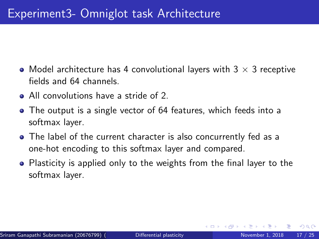- Model architecture has 4 convolutional layers with  $3 \times 3$  receptive fields and 64 channels.
- All convolutions have a stride of 2.
- The output is a single vector of 64 features, which feeds into a softmax layer.
- The label of the current character is also concurrently fed as a one-hot encoding to this softmax layer and compared.
- Plasticity is applied only to the weights from the final layer to the softmax layer.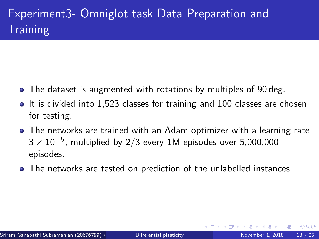# Experiment3- Omniglot task Data Preparation and **Training**

- The dataset is augmented with rotations by multiples of 90 deg.
- It is divided into 1,523 classes for training and 100 classes are chosen for testing.
- The networks are trained with an Adam optimizer with a learning rate  $3\times10^{-5}$ , multiplied by 2/3 every 1M episodes over 5,000,000 episodes.
- The networks are tested on prediction of the unlabelled instances.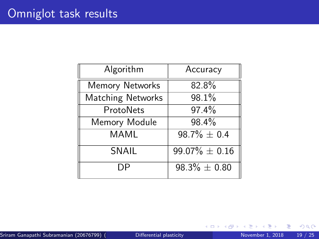| Algorithm              | Accuracy           |
|------------------------|--------------------|
| <b>Memory Networks</b> | 82.8%              |
| Matching Networks      | 98.1%              |
| ProtoNets              | 97.4%              |
| Memory Module          | 98.4%              |
| <b>MAML</b>            | $98.7\% \pm 0.4$   |
| SNAIL                  | $99.07\% \pm 0.16$ |
| DΡ                     | $98.3\% \pm 0.80$  |

 $\leftarrow$   $\Box$ 

∢母  $\rightarrow$  活

 $299$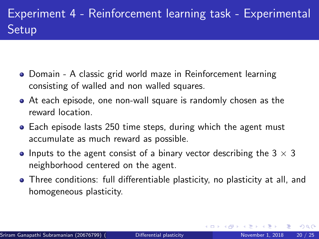# Experiment 4 - Reinforcement learning task - Experimental **Setup**

- Domain A classic grid world maze in Reinforcement learning consisting of walled and non walled squares.
- At each episode, one non-wall square is randomly chosen as the reward location.
- Each episode lasts 250 time steps, during which the agent must accumulate as much reward as possible.
- Inputs to the agent consist of a binary vector describing the  $3 \times 3$ neighborhood centered on the agent.
- Three conditions: full differentiable plasticity, no plasticity at all, and homogeneous plasticity.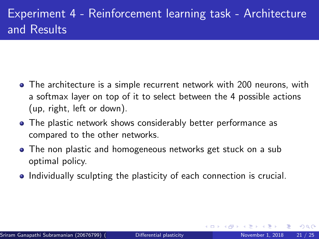- The architecture is a simple recurrent network with 200 neurons, with a softmax layer on top of it to select between the 4 possible actions (up, right, left or down).
- The plastic network shows considerably better performance as compared to the other networks.
- The non plastic and homogeneous networks get stuck on a sub optimal policy.
- Individually sculpting the plasticity of each connection is crucial.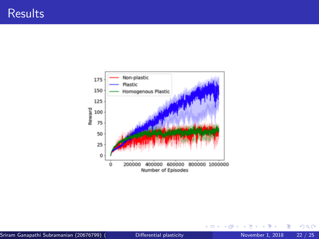

目

 $299$ 

 $\mathbb{B}$  is a  $\mathbb{B}$  is

**K ロ ⊁ K 倒 ⊁ K**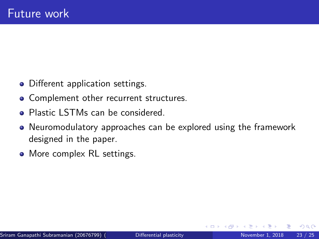- Different application settings.
- Complement other recurrent structures.
- Plastic LSTMs can be considered.
- Neuromodulatory approaches can be explored using the framework designed in the paper.
- More complex RL settings.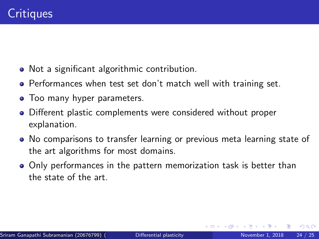- Not a significant algorithmic contribution.
- **•** Performances when test set don't match well with training set.
- Too many hyper parameters.
- Different plastic complements were considered without proper explanation.
- No comparisons to transfer learning or previous meta learning state of the art algorithms for most domains.
- Only performances in the pattern memorization task is better than the state of the art.